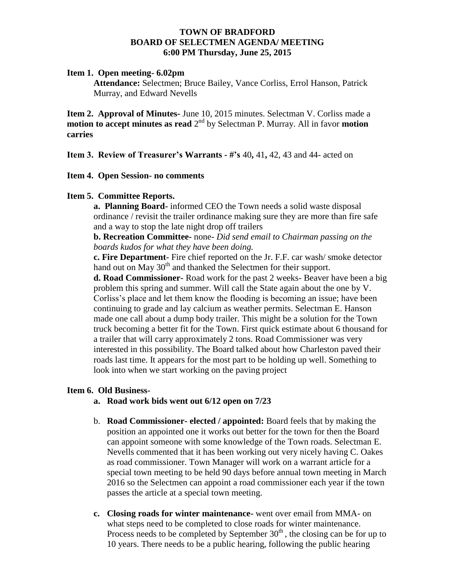### **TOWN OF BRADFORD BOARD OF SELECTMEN AGENDA/ MEETING 6:00 PM Thursday, June 25, 2015**

### **Item 1. Open meeting- 6.02pm**

**Attendance:** Selectmen; Bruce Bailey, Vance Corliss, Errol Hanson, Patrick Murray, and Edward Nevells

**Item 2. Approval of Minutes-** June 10, 2015 minutes. Selectman V. Corliss made a **motion to accept minutes as read**  $2^{nd}$  by Selectman P. Murray. All in favor **motion carries**

**Item 3. Review of Treasurer's Warrants - #'s** 40**,** 41**,** 42, 43 and 44- acted on

### **Item 4. Open Session- no comments**

# **Item 5. Committee Reports.**

**a. Planning Board-** informed CEO the Town needs a solid waste disposal ordinance / revisit the trailer ordinance making sure they are more than fire safe and a way to stop the late night drop off trailers

**b. Recreation Committee-** none- *Did send email to Chairman passing on the boards kudos for what they have been doing.*

**c. Fire Department-** Fire chief reported on the Jr. F.F. car wash/ smoke detector hand out on May 30<sup>th</sup> and thanked the Selectmen for their support.

**d. Road Commissioner-** Road work for the past 2 weeks- Beaver have been a big problem this spring and summer. Will call the State again about the one by V. Corliss's place and let them know the flooding is becoming an issue; have been continuing to grade and lay calcium as weather permits. Selectman E. Hanson made one call about a dump body trailer. This might be a solution for the Town truck becoming a better fit for the Town. First quick estimate about 6 thousand for a trailer that will carry approximately 2 tons. Road Commissioner was very interested in this possibility. The Board talked about how Charleston paved their roads last time. It appears for the most part to be holding up well. Something to look into when we start working on the paving project

# **Item 6. Old Business-**

- **a. Road work bids went out 6/12 open on 7/23**
- b. **Road Commissioner- elected / appointed:** Board feels that by making the position an appointed one it works out better for the town for then the Board can appoint someone with some knowledge of the Town roads. Selectman E. Nevells commented that it has been working out very nicely having C. Oakes as road commissioner. Town Manager will work on a warrant article for a special town meeting to be held 90 days before annual town meeting in March 2016 so the Selectmen can appoint a road commissioner each year if the town passes the article at a special town meeting.
- **c. Closing roads for winter maintenance-** went over email from MMA- on what steps need to be completed to close roads for winter maintenance. Process needs to be completed by September  $30<sup>th</sup>$ , the closing can be for up to 10 years. There needs to be a public hearing, following the public hearing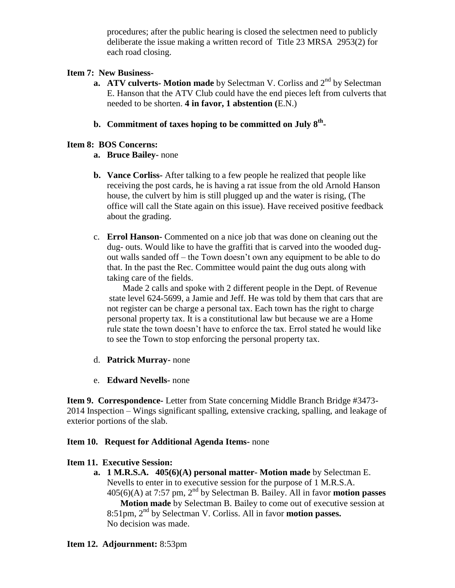procedures; after the public hearing is closed the selectmen need to publicly deliberate the issue making a written record of Title 23 MRSA 2953(2) for each road closing.

# **Item 7: New Business-**

- **a. ATV culverts- Motion made** by Selectman V. Corliss and 2<sup>nd</sup> by Selectman E. Hanson that the ATV Club could have the end pieces left from culverts that needed to be shorten. **4 in favor, 1 abstention (**E.N.)
- **b. Commitment of taxes hoping to be committed on July 8th -**

# **Item 8: BOS Concerns:**

# **a. Bruce Bailey-** none

- **b. Vance Corliss-** After talking to a few people he realized that people like receiving the post cards, he is having a rat issue from the old Arnold Hanson house, the culvert by him is still plugged up and the water is rising, (The office will call the State again on this issue). Have received positive feedback about the grading.
- c. **Errol Hanson-** Commented on a nice job that was done on cleaning out the dug- outs. Would like to have the graffiti that is carved into the wooded dugout walls sanded off – the Town doesn't own any equipment to be able to do that. In the past the Rec. Committee would paint the dug outs along with taking care of the fields.

 Made 2 calls and spoke with 2 different people in the Dept. of Revenue state level 624-5699, a Jamie and Jeff. He was told by them that cars that are not register can be charge a personal tax. Each town has the right to charge personal property tax. It is a constitutional law but because we are a Home rule state the town doesn't have to enforce the tax. Errol stated he would like to see the Town to stop enforcing the personal property tax.

- d. **Patrick Murray-** none
- e. **Edward Nevells-** none

**Item 9. Correspondence-** Letter from State concerning Middle Branch Bridge #3473- 2014 Inspection – Wings significant spalling, extensive cracking, spalling, and leakage of exterior portions of the slab.

# **Item 10. Request for Additional Agenda Items-** none

# **Item 11. Executive Session:**

**a. 1 M.R.S.A. 405(6)(A) personal matter- Motion made** by Selectman E. Nevells to enter in to executive session for the purpose of 1 M.R.S.A. 405(6)(A) at 7:57 pm, 2 nd by Selectman B. Bailey. All in favor **motion passes Motion made** by Selectman B. Bailey to come out of executive session at 8:51pm, 2<sup>nd</sup> by Selectman V. Corliss. All in favor **motion passes.** No decision was made.

# **Item 12. Adjournment:** 8:53pm